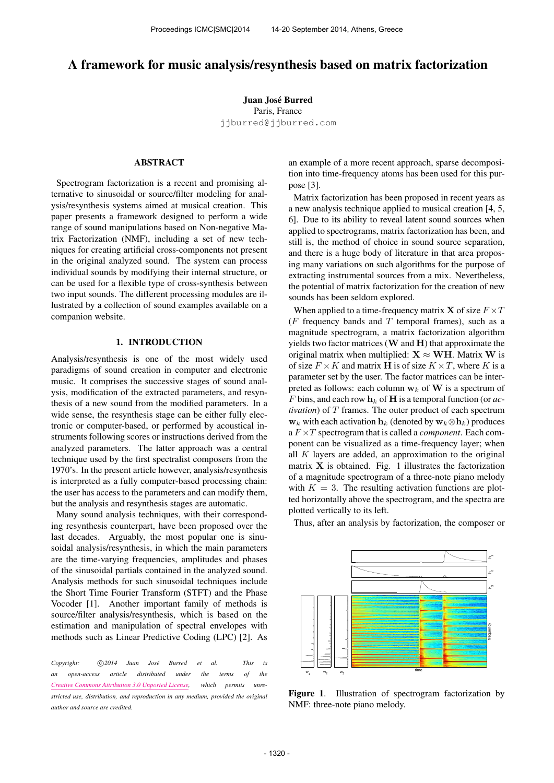# A framework for music analysis/resynthesis based on matrix factorization

Juan José Burred Paris, France [jjburred@jjburred.com](mailto:jjburred@jjburred.com)

# ABSTRACT

Spectrogram factorization is a recent and promising alternative to sinusoidal or source/filter modeling for analysis/resynthesis systems aimed at musical creation. This paper presents a framework designed to perform a wide range of sound manipulations based on Non-negative Matrix Factorization (NMF), including a set of new techniques for creating artificial cross-components not present in the original analyzed sound. The system can process individual sounds by modifying their internal structure, or can be used for a flexible type of cross-synthesis between two input sounds. The different processing modules are illustrated by a collection of sound examples available on a companion website.

## 1. INTRODUCTION

Analysis/resynthesis is one of the most widely used paradigms of sound creation in computer and electronic music. It comprises the successive stages of sound analysis, modification of the extracted parameters, and resynthesis of a new sound from the modified parameters. In a wide sense, the resynthesis stage can be either fully electronic or computer-based, or performed by acoustical instruments following scores or instructions derived from the analyzed parameters. The latter approach was a central technique used by the first spectralist composers from the 1970's. In the present article however, analysis/resynthesis is interpreted as a fully computer-based processing chain: the user has access to the parameters and can modify them, but the analysis and resynthesis stages are automatic.

Many sound analysis techniques, with their corresponding resynthesis counterpart, have been proposed over the last decades. Arguably, the most popular one is sinusoidal analysis/resynthesis, in which the main parameters are the time-varying frequencies, amplitudes and phases of the sinusoidal partials contained in the analyzed sound. Analysis methods for such sinusoidal techniques include the Short Time Fourier Transform (STFT) and the Phase Vocoder [1]. Another important family of methods is source/filter analysis/resynthesis, which is based on the estimation and manipulation of spectral envelopes with methods such as Linear Predictive Coding (LPC) [2]. As

*Copyright:*  $\bigcirc$  *C* $)$ 2014 Juan José Burred et al. This is *an open-access article distributed under the terms of the [Creative Commons Attribution 3.0 Unported License,](http://creativecommons.org/licenses/by/3.0/) which permits unrestricted use, distribution, and reproduction in any medium, provided the original author and source are credited.*

an example of a more recent approach, sparse decomposition into time-frequency atoms has been used for this purpose [3].

Matrix factorization has been proposed in recent years as a new analysis technique applied to musical creation [4, 5, 6]. Due to its ability to reveal latent sound sources when applied to spectrograms, matrix factorization has been, and still is, the method of choice in sound source separation, and there is a huge body of literature in that area proposing many variations on such algorithms for the purpose of extracting instrumental sources from a mix. Nevertheless, the potential of matrix factorization for the creation of new sounds has been seldom explored.

When applied to a time-frequency matrix **X** of size  $F \times T$ ( $F$  frequency bands and  $T$  temporal frames), such as a magnitude spectrogram, a matrix factorization algorithm yields two factor matrices  $(W \text{ and } H)$  that approximate the original matrix when multiplied:  $X \approx WH$ . Matrix W is of size  $F \times K$  and matrix **H** is of size  $K \times T$ , where K is a parameter set by the user. The factor matrices can be interpreted as follows: each column  $w_k$  of W is a spectrum of F bins, and each row  $h_k$  of **H** is a temporal function (or *activation*) of T frames. The outer product of each spectrum  $\mathbf{w}_k$  with each activation  $\mathbf{h}_k$  (denoted by  $\mathbf{w}_k \otimes \mathbf{h}_k$ ) produces a F ×T spectrogram that is called a *component*. Each component can be visualized as a time-frequency layer; when all  $K$  layers are added, an approximation to the original matrix  $X$  is obtained. Fig. 1 illustrates the factorization of a magnitude spectrogram of a three-note piano melody with  $K = 3$ . The resulting activation functions are plotted horizontally above the spectrogram, and the spectra are plotted vertically to its left.



Thus, after an analysis by factorization, the composer or

Figure 1. Illustration of spectrogram factorization by NMF: three-note piano melody.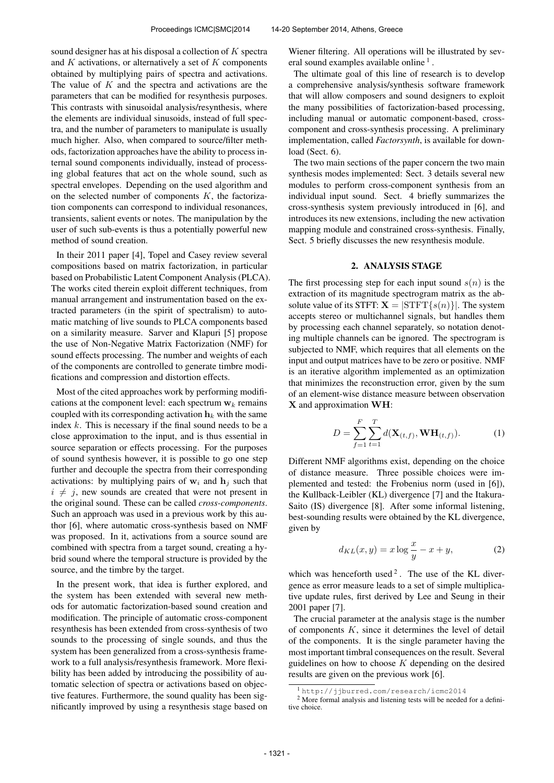sound designer has at his disposal a collection of  $K$  spectra and  $K$  activations, or alternatively a set of  $K$  components obtained by multiplying pairs of spectra and activations. The value of  $K$  and the spectra and activations are the parameters that can be modified for resynthesis purposes. This contrasts with sinusoidal analysis/resynthesis, where the elements are individual sinusoids, instead of full spectra, and the number of parameters to manipulate is usually much higher. Also, when compared to source/filter methods, factorization approaches have the ability to process internal sound components individually, instead of processing global features that act on the whole sound, such as spectral envelopes. Depending on the used algorithm and on the selected number of components  $K$ , the factorization components can correspond to individual resonances, transients, salient events or notes. The manipulation by the user of such sub-events is thus a potentially powerful new method of sound creation.

In their 2011 paper [4], Topel and Casey review several compositions based on matrix factorization, in particular based on Probabilistic Latent Component Analysis (PLCA). The works cited therein exploit different techniques, from manual arrangement and instrumentation based on the extracted parameters (in the spirit of spectralism) to automatic matching of live sounds to PLCA components based on a similarity measure. Sarver and Klapuri [5] propose the use of Non-Negative Matrix Factorization (NMF) for sound effects processing. The number and weights of each of the components are controlled to generate timbre modifications and compression and distortion effects.

Most of the cited approaches work by performing modifications at the component level: each spectrum  $w_k$  remains coupled with its corresponding activation  $h_k$  with the same index  $k$ . This is necessary if the final sound needs to be a close approximation to the input, and is thus essential in source separation or effects processing. For the purposes of sound synthesis however, it is possible to go one step further and decouple the spectra from their corresponding activations: by multiplying pairs of  $w_i$  and  $h_j$  such that  $i \neq j$ , new sounds are created that were not present in the original sound. These can be called *cross-components*. Such an approach was used in a previous work by this author [6], where automatic cross-synthesis based on NMF was proposed. In it, activations from a source sound are combined with spectra from a target sound, creating a hybrid sound where the temporal structure is provided by the source, and the timbre by the target.

In the present work, that idea is further explored, and the system has been extended with several new methods for automatic factorization-based sound creation and modification. The principle of automatic cross-component resynthesis has been extended from cross-synthesis of two sounds to the processing of single sounds, and thus the system has been generalized from a cross-synthesis framework to a full analysis/resynthesis framework. More flexibility has been added by introducing the possibility of automatic selection of spectra or activations based on objective features. Furthermore, the sound quality has been significantly improved by using a resynthesis stage based on Wiener filtering. All operations will be illustrated by several sound examples available online<sup>1</sup>.

The ultimate goal of this line of research is to develop a comprehensive analysis/synthesis software framework that will allow composers and sound designers to exploit the many possibilities of factorization-based processing, including manual or automatic component-based, crosscomponent and cross-synthesis processing. A preliminary implementation, called *Factorsynth*, is available for download (Sect. 6).

The two main sections of the paper concern the two main synthesis modes implemented: Sect. 3 details several new modules to perform cross-component synthesis from an individual input sound. Sect. 4 briefly summarizes the cross-synthesis system previously introduced in [6], and introduces its new extensions, including the new activation mapping module and constrained cross-synthesis. Finally, Sect. 5 briefly discusses the new resynthesis module.

### 2. ANALYSIS STAGE

The first processing step for each input sound  $s(n)$  is the extraction of its magnitude spectrogram matrix as the absolute value of its STFT:  $X = |SIFT\{s(n)\}|$ . The system accepts stereo or multichannel signals, but handles them by processing each channel separately, so notation denoting multiple channels can be ignored. The spectrogram is subjected to NMF, which requires that all elements on the input and output matrices have to be zero or positive. NMF is an iterative algorithm implemented as an optimization that minimizes the reconstruction error, given by the sum of an element-wise distance measure between observation X and approximation WH:

$$
D = \sum_{f=1}^{F} \sum_{t=1}^{T} d(\mathbf{X}_{(t,f)}, \mathbf{W} \mathbf{H}_{(t,f)}).
$$
 (1)

Different NMF algorithms exist, depending on the choice of distance measure. Three possible choices were implemented and tested: the Frobenius norm (used in [6]), the Kullback-Leibler (KL) divergence [7] and the Itakura-Saito (IS) divergence [8]. After some informal listening, best-sounding results were obtained by the KL divergence, given by

$$
d_{KL}(x, y) = x \log \frac{x}{y} - x + y,\tag{2}
$$

which was henceforth used<sup>2</sup>. The use of the KL divergence as error measure leads to a set of simple multiplicative update rules, first derived by Lee and Seung in their 2001 paper [7].

The crucial parameter at the analysis stage is the number of components  $K$ , since it determines the level of detail of the components. It is the single parameter having the most important timbral consequences on the result. Several guidelines on how to choose  $K$  depending on the desired results are given on the previous work [6].

<sup>1</sup> <http://jjburred.com/research/icmc2014>

<sup>2</sup> More formal analysis and listening tests will be needed for a definitive choice.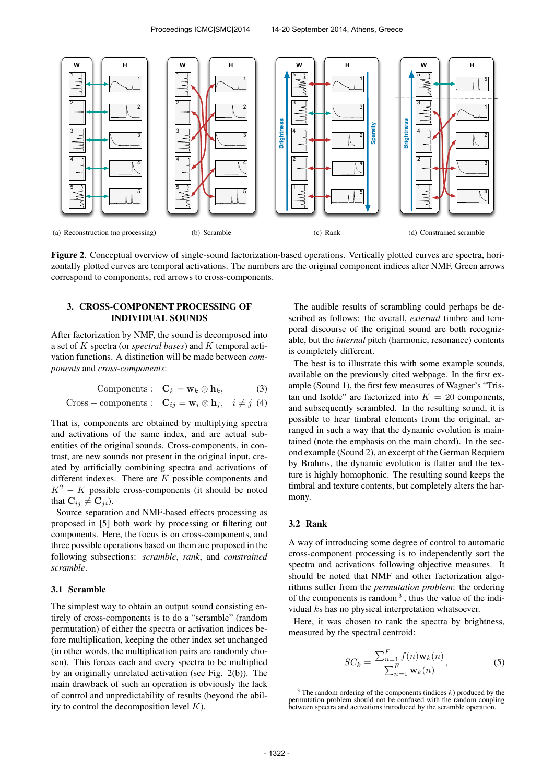

Figure 2. Conceptual overview of single-sound factorization-based operations. Vertically plotted curves are spectra, horizontally plotted curves are temporal activations. The numbers are the original component indices after NMF. Green arrows correspond to components, red arrows to cross-components.

# 3. CROSS-COMPONENT PROCESSING OF INDIVIDUAL SOUNDS

After factorization by NMF, the sound is decomposed into a set of K spectra (or *spectral bases*) and K temporal activation functions. A distinction will be made between *components* and *cross-components*:

$$
Components: \quad \mathbf{C}_k = \mathbf{w}_k \otimes \mathbf{h}_k, \tag{3}
$$

Cross – components: 
$$
\mathbf{C}_{ij} = \mathbf{w}_i \otimes \mathbf{h}_j
$$
,  $i \neq j$  (4)

That is, components are obtained by multiplying spectra and activations of the same index, and are actual subentities of the original sounds. Cross-components, in contrast, are new sounds not present in the original input, created by artificially combining spectra and activations of different indexes. There are K possible components and  $K^2 - K$  possible cross-components (it should be noted that  $\mathbf{C}_{ij} \neq \mathbf{C}_{ji}$ ).

Source separation and NMF-based effects processing as proposed in [5] both work by processing or filtering out components. Here, the focus is on cross-components, and three possible operations based on them are proposed in the following subsections: *scramble*, *rank*, and *constrained scramble*.

## 3.1 Scramble

The simplest way to obtain an output sound consisting entirely of cross-components is to do a "scramble" (random permutation) of either the spectra or activation indices before multiplication, keeping the other index set unchanged (in other words, the multiplication pairs are randomly chosen). This forces each and every spectra to be multiplied by an originally unrelated activation (see Fig. 2(b)). The main drawback of such an operation is obviously the lack of control and unpredictability of results (beyond the ability to control the decomposition level  $K$ ).

The audible results of scrambling could perhaps be described as follows: the overall, *external* timbre and temporal discourse of the original sound are both recognizable, but the *internal* pitch (harmonic, resonance) contents is completely different.

The best is to illustrate this with some example sounds, available on the previously cited webpage. In the first example (Sound 1), the first few measures of Wagner's "Tristan und Isolde" are factorized into  $K = 20$  components, and subsequently scrambled. In the resulting sound, it is possible to hear timbral elements from the original, arranged in such a way that the dynamic evolution is maintained (note the emphasis on the main chord). In the second example (Sound 2), an excerpt of the German Requiem by Brahms, the dynamic evolution is flatter and the texture is highly homophonic. The resulting sound keeps the timbral and texture contents, but completely alters the harmony.

## 3.2 Rank

A way of introducing some degree of control to automatic cross-component processing is to independently sort the spectra and activations following objective measures. It should be noted that NMF and other factorization algorithms suffer from the *permutation problem*: the ordering of the components is random  $3$ , thus the value of the individual ks has no physical interpretation whatsoever.

Here, it was chosen to rank the spectra by brightness, measured by the spectral centroid:

$$
SC_k = \frac{\sum_{n=1}^{F} f(n) \mathbf{w}_k(n)}{\sum_{n=1}^{F} \mathbf{w}_k(n)},
$$
(5)

 $3$  The random ordering of the components (indices  $k$ ) produced by the permutation problem should not be confused with the random coupling between spectra and activations introduced by the scramble operation.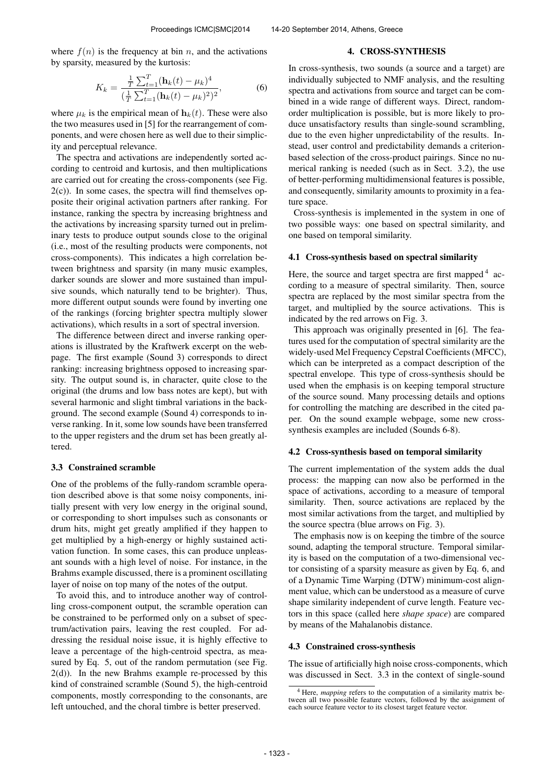where  $f(n)$  is the frequency at bin n, and the activations by sparsity, measured by the kurtosis:

$$
K_k = \frac{\frac{1}{T} \sum_{t=1}^{T} (\mathbf{h}_k(t) - \mu_k)^4}{(\frac{1}{T} \sum_{t=1}^{T} (\mathbf{h}_k(t) - \mu_k)^2)^2},
$$
(6)

where  $\mu_k$  is the empirical mean of  $\mathbf{h}_k(t)$ . These were also the two measures used in [5] for the rearrangement of components, and were chosen here as well due to their simplicity and perceptual relevance.

The spectra and activations are independently sorted according to centroid and kurtosis, and then multiplications are carried out for creating the cross-components (see Fig.  $2(c)$ ). In some cases, the spectra will find themselves opposite their original activation partners after ranking. For instance, ranking the spectra by increasing brightness and the activations by increasing sparsity turned out in preliminary tests to produce output sounds close to the original (i.e., most of the resulting products were components, not cross-components). This indicates a high correlation between brightness and sparsity (in many music examples, darker sounds are slower and more sustained than impulsive sounds, which naturally tend to be brighter). Thus, more different output sounds were found by inverting one of the rankings (forcing brighter spectra multiply slower activations), which results in a sort of spectral inversion.

The difference between direct and inverse ranking operations is illustrated by the Kraftwerk excerpt on the webpage. The first example (Sound 3) corresponds to direct ranking: increasing brightness opposed to increasing sparsity. The output sound is, in character, quite close to the original (the drums and low bass notes are kept), but with several harmonic and slight timbral variations in the background. The second example (Sound 4) corresponds to inverse ranking. In it, some low sounds have been transferred to the upper registers and the drum set has been greatly altered.

#### 3.3 Constrained scramble

One of the problems of the fully-random scramble operation described above is that some noisy components, initially present with very low energy in the original sound, or corresponding to short impulses such as consonants or drum hits, might get greatly amplified if they happen to get multiplied by a high-energy or highly sustained activation function. In some cases, this can produce unpleasant sounds with a high level of noise. For instance, in the Brahms example discussed, there is a prominent oscillating layer of noise on top many of the notes of the output.

To avoid this, and to introduce another way of controlling cross-component output, the scramble operation can be constrained to be performed only on a subset of spectrum/activation pairs, leaving the rest coupled. For addressing the residual noise issue, it is highly effective to leave a percentage of the high-centroid spectra, as measured by Eq. 5, out of the random permutation (see Fig.  $2(d)$ ). In the new Brahms example re-processed by this kind of constrained scramble (Sound 5), the high-centroid components, mostly corresponding to the consonants, are left untouched, and the choral timbre is better preserved.

### 4. CROSS-SYNTHESIS

In cross-synthesis, two sounds (a source and a target) are individually subjected to NMF analysis, and the resulting spectra and activations from source and target can be combined in a wide range of different ways. Direct, randomorder multiplication is possible, but is more likely to produce unsatisfactory results than single-sound scrambling, due to the even higher unpredictability of the results. Instead, user control and predictability demands a criterionbased selection of the cross-product pairings. Since no numerical ranking is needed (such as in Sect. 3.2), the use of better-performing multidimensional features is possible, and consequently, similarity amounts to proximity in a feature space.

Cross-synthesis is implemented in the system in one of two possible ways: one based on spectral similarity, and one based on temporal similarity.

#### 4.1 Cross-synthesis based on spectral similarity

Here, the source and target spectra are first mapped<sup>4</sup> according to a measure of spectral similarity. Then, source spectra are replaced by the most similar spectra from the target, and multiplied by the source activations. This is indicated by the red arrows on Fig. 3.

This approach was originally presented in [6]. The features used for the computation of spectral similarity are the widely-used Mel Frequency Cepstral Coefficients (MFCC), which can be interpreted as a compact description of the spectral envelope. This type of cross-synthesis should be used when the emphasis is on keeping temporal structure of the source sound. Many processing details and options for controlling the matching are described in the cited paper. On the sound example webpage, some new crosssynthesis examples are included (Sounds 6-8).

## 4.2 Cross-synthesis based on temporal similarity

The current implementation of the system adds the dual process: the mapping can now also be performed in the space of activations, according to a measure of temporal similarity. Then, source activations are replaced by the most similar activations from the target, and multiplied by the source spectra (blue arrows on Fig. 3).

The emphasis now is on keeping the timbre of the source sound, adapting the temporal structure. Temporal similarity is based on the computation of a two-dimensional vector consisting of a sparsity measure as given by Eq. 6, and of a Dynamic Time Warping (DTW) minimum-cost alignment value, which can be understood as a measure of curve shape similarity independent of curve length. Feature vectors in this space (called here *shape space*) are compared by means of the Mahalanobis distance.

### 4.3 Constrained cross-synthesis

The issue of artificially high noise cross-components, which was discussed in Sect. 3.3 in the context of single-sound

<sup>&</sup>lt;sup>4</sup> Here, *mapping* refers to the computation of a similarity matrix be-<br>tween all two possible feature vectors, followed by the assignment of each source feature vector to its closest target feature vector.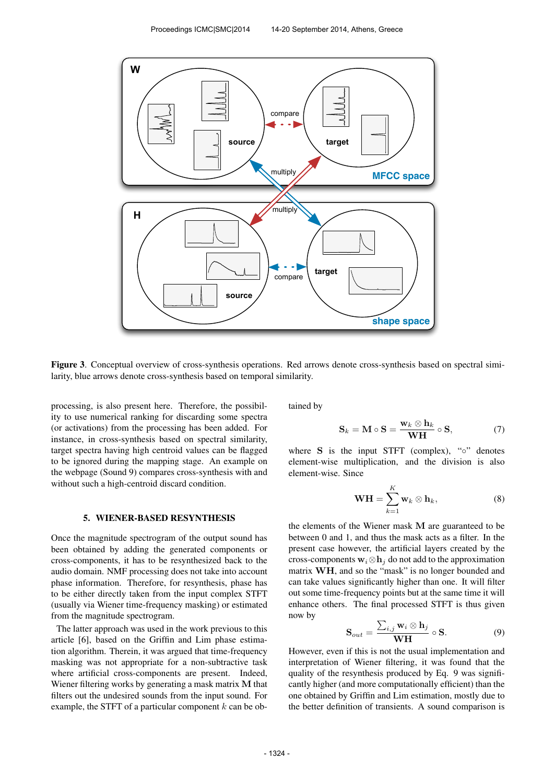

Figure 3. Conceptual overview of cross-synthesis operations. Red arrows denote cross-synthesis based on spectral similarity, blue arrows denote cross-synthesis based on temporal similarity.

processing, is also present here. Therefore, the possibility to use numerical ranking for discarding some spectra (or activations) from the processing has been added. For instance, in cross-synthesis based on spectral similarity, target spectra having high centroid values can be flagged to be ignored during the mapping stage. An example on the webpage (Sound 9) compares cross-synthesis with and without such a high-centroid discard condition.

#### 5. WIENER-BASED RESYNTHESIS

Once the magnitude spectrogram of the output sound has been obtained by adding the generated components or cross-components, it has to be resynthesized back to the audio domain. NMF processing does not take into account phase information. Therefore, for resynthesis, phase has to be either directly taken from the input complex STFT (usually via Wiener time-frequency masking) or estimated from the magnitude spectrogram.

The latter approach was used in the work previous to this article [6], based on the Griffin and Lim phase estimation algorithm. Therein, it was argued that time-frequency masking was not appropriate for a non-subtractive task where artificial cross-components are present. Indeed, Wiener filtering works by generating a mask matrix M that filters out the undesired sounds from the input sound. For example, the STFT of a particular component  $k$  can be obtained by

$$
\mathbf{S}_k = \mathbf{M} \circ \mathbf{S} = \frac{\mathbf{w}_k \otimes \mathbf{h}_k}{\mathbf{W}\mathbf{H}} \circ \mathbf{S},\tag{7}
$$

where  $S$  is the input STFT (complex), " $\circ$ " denotes element-wise multiplication, and the division is also element-wise. Since

$$
\mathbf{WH} = \sum_{k=1}^{K} \mathbf{w}_k \otimes \mathbf{h}_k, \tag{8}
$$

the elements of the Wiener mask M are guaranteed to be between 0 and 1, and thus the mask acts as a filter. In the present case however, the artificial layers created by the cross-components  $w_i \otimes h_j$  do not add to the approximation matrix WH, and so the "mask" is no longer bounded and can take values significantly higher than one. It will filter out some time-frequency points but at the same time it will enhance others. The final processed STFT is thus given now by

$$
\mathbf{S}_{out} = \frac{\sum_{i,j} \mathbf{w}_i \otimes \mathbf{h}_j}{\mathbf{W} \mathbf{H}} \circ \mathbf{S}.
$$
 (9)

However, even if this is not the usual implementation and interpretation of Wiener filtering, it was found that the quality of the resynthesis produced by Eq. 9 was significantly higher (and more computationally efficient) than the one obtained by Griffin and Lim estimation, mostly due to the better definition of transients. A sound comparison is